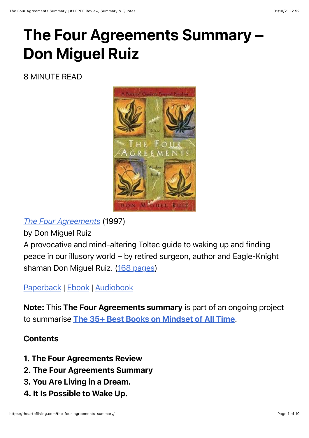# The Four Agreements Summary – Don Miguel Ruiz

8 MINUTE READ



*[The Four Agreements](https://www.amazon.com/dp/1878424319?tag=whywhathow-20)* (1997)

by Don Miguel Ruiz

A provocative and mind-altering Toltec guide to waking up and finding peace in our illusory world – by retired surgeon, author and Eagle-Knight shaman Don Miguel Ruiz. [\(168 pages](https://theartofliving.com/how-long-does-it-take-to-read-200-pages/))

[Paperback](https://www.amazon.com/dp/1878424319/?tag=whywhathow-20) | [Ebook](https://www.amazon.com/dp/B005BRS8Z6/?tag=whywhathow-20) | [Audiobook](https://www.amazon.com/dp/B0007OB40E?tag=whywhathow-20)

Note: This The Four Agreements summary is part of an ongoing project to summarise [The 35+ Best Books on Mindset of All Time](https://theartofliving.com/best-mindset-books/).

#### **Contents**

- 1. The Four Agreements Review
- 2. The Four Agreements Summary
- 3. You Are Living in a Dream.
- 4. It Is Possible to Wake Up.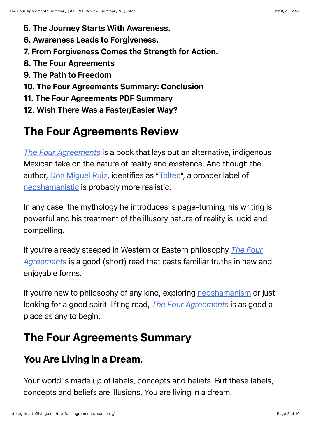- 5. The Journey Starts With Awareness.
- 6. Awareness Leads to Forgiveness.
- 7. From Forgiveness Comes the Strength for Action.
- 8. The Four Agreements
- 9. The Path to Freedom
- 10. The Four Agreements Summary: Conclusion
- 11. The Four Agreements PDF Summary
- 12. Wish There Was a Faster/Easier Way?

## The Four Agreements Review

*[The Four Agreements](https://www.amazon.com/dp/1878424319?tag=whywhathow-20)* is a book that lays out an alternative, indigenous Mexican take on the nature of reality and existence. And though the author, [Don Miguel Ruiz,](https://en.wikipedia.org/wiki/Don_Miguel_Ruiz) identifies as ["Toltec"](https://en.wikipedia.org/wiki/Toltec), a broader label of [neoshamanistic](https://en.wikipedia.org/wiki/Neoshamanism) is probably more realistic.

In any case, the mythology he introduces is page-turning, his writing is powerful and his treatment of the illusory nature of reality is lucid and compelling.

[If you're already steeped in Western or Eastern philosophy](https://www.amazon.com/dp/1878424319?tag=whywhathow-20) *The Four Agreements* is a good (short) read that casts familiar truths in new and enjoyable forms.

If you're new to philosophy of any kind, exploring [neoshamanism](https://en.wikipedia.org/wiki/Neoshamanism) or just looking for a good spirit-lifting read, *[The Four Agreements](https://www.amazon.com/dp/1878424319?tag=whywhathow-20)* is as good a place as any to begin.

## The Four Agreements Summary

## You Are Living in a Dream.

Your world is made up of labels, concepts and beliefs. But these labels, concepts and beliefs are illusions. You are living in a dream.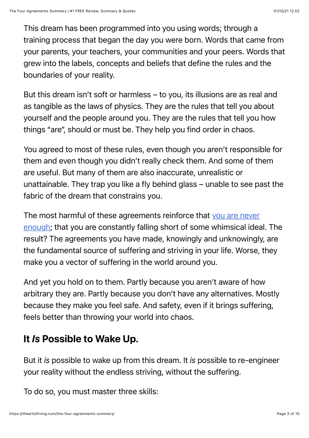This dream has been programmed into you using words; through a training process that began the day you were born. Words that came from your parents, your teachers, your communities and your peers. Words that grew into the labels, concepts and beliefs that define the rules and the boundaries of your reality.

But this dream isn't soft or harmless – to you, its illusions are as real and as tangible as the laws of physics. They are the rules that tell you about yourself and the people around you. They are the rules that tell you how things "are", should or must be. They help you find order in chaos.

You agreed to most of these rules, even though you aren't responsible for them and even though you didn't really check them. And some of them are useful. But many of them are also inaccurate, unrealistic or unattainable. They trap you like a fly behind glass – unable to see past the fabric of the dream that constrains you.

[The most harmful of these agreements reinforce that you are never](https://theartofliving.com/you-are-enough-just-as-you-are/) enough; that you are constantly falling short of some whimsical ideal. The result? The agreements you have made, knowingly and unknowingly, are the fundamental source of suffering and striving in your life. Worse, they make you a vector of suffering in the world around you.

And yet you hold on to them. Partly because you aren't aware of how arbitrary they are. Partly because you don't have any alternatives. Mostly because they make you feel safe. And safety, even if it brings suffering, feels better than throwing your world into chaos.

## It *Is* Possible to Wake Up.

But it *is* possible to wake up from this dream. It *is* possible to re-engineer your reality without the endless striving, without the suffering.

To do so, you must master three skills: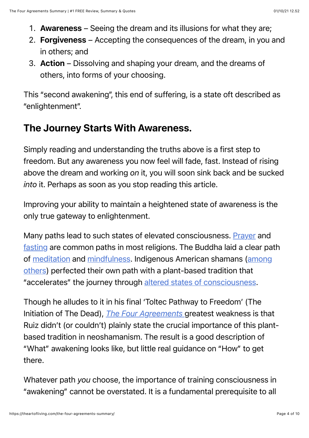- 1. Awareness Seeing the dream and its illusions for what they are;
- 2. Forgiveness Accepting the consequences of the dream, in you and in others; and
- 3. Action Dissolving and shaping your dream, and the dreams of others, into forms of your choosing.

This "second awakening", this end of suffering, is a state oft described as "enlightenment".

## The Journey Starts With Awareness.

Simply reading and understanding the truths above is a first step to freedom. But any awareness you now feel will fade, fast. Instead of rising above the dream and working *on* it, you will soon sink back and be sucked *into* it. Perhaps as soon as you stop reading this article.

Improving your ability to maintain a heightened state of awareness is the only true gateway to enlightenment.

Many paths lead to such states of elevated consciousness. [Prayer](https://en.wikipedia.org/wiki/Prayer) and [fasting](https://en.wikipedia.org/wiki/Fasting#Religious_views) are common paths in most religions. The Buddha laid a clear path [of meditation and mindfulness. Indigenous American shamans \(among](https://www.nationalgeographic.com/travel/features/drug-culture-around-the-world/) others) perfected their own path with a plant-based tradition that "accelerates" the journey through [altered states of consciousness.](https://en.wikipedia.org/wiki/Altered_state_of_consciousness)

Though he alludes to it in his final 'Toltec Pathway to Freedom' (The Initiation of The Dead), *[The Four Agreements](https://www.amazon.com/dp/1878424319?tag=whywhathow-20)* greatest weakness is that Ruiz didn't (or couldn't) plainly state the crucial importance of this plantbased tradition in neoshamanism. The result is a good description of "What" awakening looks like, but little real guidance on "How" to get there.

Whatever path *you* choose, the importance of training consciousness in "awakening" cannot be overstated. It is a fundamental prerequisite to all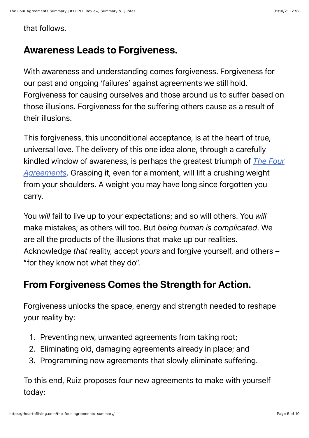that follows.

### Awareness Leads to Forgiveness.

With awareness and understanding comes forgiveness. Forgiveness for our past and ongoing 'failures' against agreements we still hold. Forgiveness for causing ourselves and those around us to suffer based on those illusions. Forgiveness for the suffering others cause as a result of their illusions.

This forgiveness, this unconditional acceptance, is at the heart of true, universal love. The delivery of this one idea alone, through a carefully [kindled window of awareness, is perhaps the greatest triumph of](https://www.amazon.com/dp/1878424319?tag=whywhathow-20) *The Four Agreements*. Grasping it, even for a moment, will lift a crushing weight from your shoulders. A weight you may have long since forgotten you carry.

You *will* fail to live up to your expectations; and so will others. You *will* make mistakes; as others will too. But *being human is complicated*. We are all the products of the illusions that make up our realities. Acknowledge *that* reality, accept *yours* and forgive yourself, and others – "for they know not what they do".

## From Forgiveness Comes the Strength for Action.

Forgiveness unlocks the space, energy and strength needed to reshape your reality by:

- 1. Preventing new, unwanted agreements from taking root;
- 2. Eliminating old, damaging agreements already in place; and
- 3. Programming new agreements that slowly eliminate suffering.

To this end, Ruiz proposes four new agreements to make with yourself today: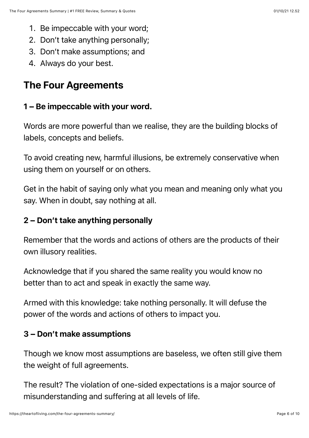- 1. Be impeccable with your word;
- 2. Don't take anything personally;
- 3. Don't make assumptions; and
- 4. Always do your best.

### The Four Agreements

#### 1 – Be impeccable with your word.

Words are more powerful than we realise, they are the building blocks of labels, concepts and beliefs.

To avoid creating new, harmful illusions, be extremely conservative when using them on yourself or on others.

Get in the habit of saying only what you mean and meaning only what you say. When in doubt, say nothing at all.

#### 2 – Don't take anything personally

Remember that the words and actions of others are the products of their own illusory realities.

Acknowledge that if you shared the same reality you would know no better than to act and speak in exactly the same way.

Armed with this knowledge: take nothing personally. It will defuse the power of the words and actions of others to impact you.

#### 3 – Don't make assumptions

Though we know most assumptions are baseless, we often still give them the weight of full agreements.

The result? The violation of one-sided expectations is a major source of misunderstanding and suffering at all levels of life.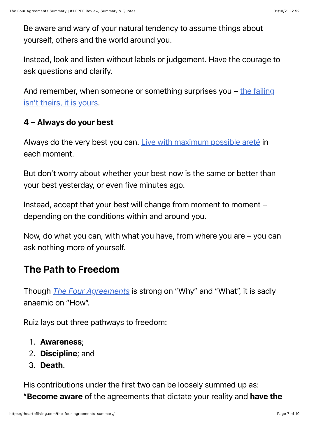Be aware and wary of your natural tendency to assume things about yourself, others and the world around you.

Instead, look and listen without labels or judgement. Have the courage to ask questions and clarify.

And remember, when someone or something surprises you  $-\frac{1}{2}$  the failing isn't theirs, it is yours.

#### 4 – Always do your best

Always do the very best you can. [Live with maximum possible areté](https://theartofliving.com/optimal-living-101-brian-johnson/) in each moment.

But don't worry about whether your best now is the same or better than your best yesterday, or even five minutes ago.

Instead, accept that your best will change from moment to moment – depending on the conditions within and around you.

Now, do what you can, with what you have, from where you are – you can ask nothing more of yourself.

### The Path to Freedom

Though *[The Four Agreements](https://www.amazon.com/dp/1878424319?tag=whywhathow-20)* is strong on "Why" and "What", it is sadly anaemic on "How".

Ruiz lays out three pathways to freedom:

- 1. Awareness;
- 2. Discipline; and
- 3. Death.

His contributions under the first two can be loosely summed up as: "Become aware of the agreements that dictate your reality and have the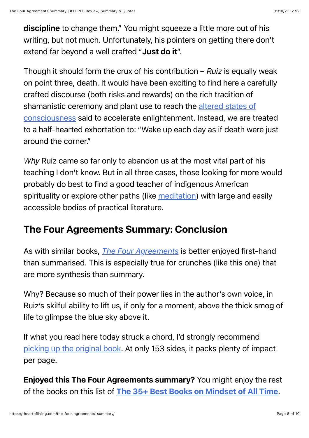discipline to change them." You might squeeze a little more out of his writing, but not much. Unfortunately, his pointers on getting there don't extend far beyond a well crafted "Just do it".

Though it should form the crux of his contribution – *Ruiz* is equally weak on point three, death. It would have been exciting to find here a carefully crafted discourse (both risks and rewards) on the rich tradition of [shamanistic ceremony and plant use to reach the altered states of](https://en.wikipedia.org/wiki/Altered_state_of_consciousness) consciousness said to accelerate enlightenment. Instead, we are treated to a half-hearted exhortation to: "Wake up each day as if death were just around the corner."

*Why* Ruiz came so far only to abandon us at the most vital part of his teaching I don't know. But in all three cases, those looking for more would probably do best to find a good teacher of indigenous American spirituality or explore other paths (like [meditation](https://en.wikipedia.org/wiki/Meditation)) with large and easily accessible bodies of practical literature.

### The Four Agreements Summary: Conclusion

As with similar books, *[The Four Agreements](https://www.amazon.com/dp/1878424319?tag=whywhathow-20)* is better enjoyed first-hand than summarised. This is especially true for crunches (like this one) that are more synthesis than summary.

Why? Because so much of their power lies in the author's own voice, in Ruiz's skilful ability to lift us, if only for a moment, above the thick smog of life to glimpse the blue sky above it.

If what you read here today struck a chord, I'd strongly recommend [picking up the original book.](https://www.amazon.com/dp/1878424319?tag=whywhathow-20) At only 153 sides, it packs plenty of impact per page.

Enjoyed this The Four Agreements summary? You might enjoy the rest of the books on this list of [The 35+ Best Books on Mindset of All Time](https://theartofliving.com/best-mindset-books/).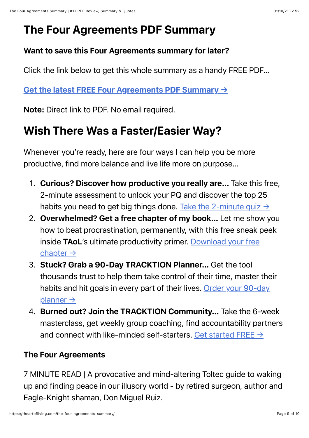## The Four Agreements PDF Summary

#### Want to save this Four Agreements summary for later?

Click the link below to get this whole summary as a handy FREE PDF…

#### [Get the latest FREE Four Agreements PDF Summary](https://theartofliving.com/wp-content/uploads/2021/10/The-Four-Agreements-PDF-Summary.pdf) →

Note: Direct link to PDF. No email required.

## Wish There Was a Faster/Easier Way?

Whenever you're ready, here are four ways I can help you be more productive, find more balance and live life more on purpose…

- 1. Curious? Discover how productive you really are… Take this free, 2-minute assessment to unlock your PQ and discover the top 25 habits you need to get big things done. Take the 2-minute quiz  $\rightarrow$
- 2. Overwhelmed? Get a free chapter of my book… Let me show you how to beat procrastination, permanently, with this free sneak peek inside TAoL['s ultimate productivity primer. Download your free](https://theartofliving.com/primer/free-chapter/) chapter →
- 3. Stuck? Grab a 90-Day TRACKTION Planner… Get the tool thousands trust to help them take control of their time, master their [habits and hit goals in every part of their lives. Order your 90-day](https://theartofliving.com/planner/) planner →
- 4. Burned out? Join the TRACKTION Community… Take the 6-week masterclass, get weekly group coaching, find accountability partners and connect with like-minded self-starters. Get started FREE  $\rightarrow$

#### The Four Agreements

7 MINUTE READ | A provocative and mind-altering Toltec guide to waking up and finding peace in our illusory world - by retired surgeon, author and Eagle-Knight shaman, Don Miguel Ruiz.